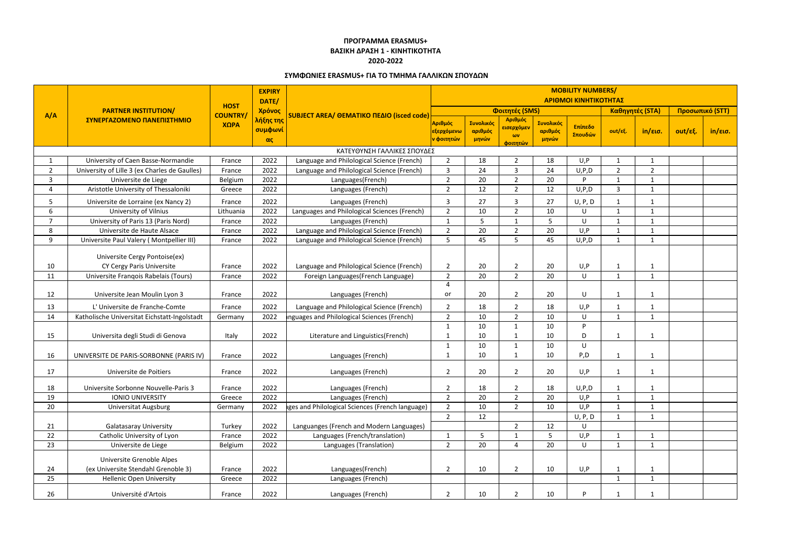## **ΠΡΟΓΡΑΜΜΑ ERASMUS+ ΒΑΣΙΚΗ ΔΡΑΣΗ 1 - ΚΙΝΗΤΙΚΟΤΗΤΑ 2020-2022**

## **ΣΥΜΦΩΝΙΕΣ ERASMUS+ ΓΙΑ ΤΟ ΤΜΗΜΑ ΓΑΛΛΙΚΩΝ ΣΠΟΥΔΩΝ**

| A/A                         | <b>PARTNER INSTITUTION/</b><br>ΣΥΝΕΡΓΑΖΟΜΕΝΟ ΠΑΝΕΠΙΣΤΗΜΙΟ | <b>HOST</b><br><b>COUNTRY</b><br>ΧΩΡΑ | <b>EXPIRY</b><br>DATE/<br>Χρόνος<br>λήξης της<br>συμφωνί<br>ας | SUBJECT AREA/ OEMATIKO NEAIO (isced code)        | <b>MOBILITY NUMBERS/</b><br>ΑΡΙΘΜΟΙ ΚΙΝΗΤΙΚΟΤΗΤΑΣ |                               |                                                 |                               |                    |                |                   |                 |         |
|-----------------------------|-----------------------------------------------------------|---------------------------------------|----------------------------------------------------------------|--------------------------------------------------|---------------------------------------------------|-------------------------------|-------------------------------------------------|-------------------------------|--------------------|----------------|-------------------|-----------------|---------|
|                             |                                                           |                                       |                                                                |                                                  | Φοιτητές (SMS)                                    |                               |                                                 |                               |                    |                | Καθηγητές (STA)   | Προσωπικό (STT) |         |
|                             |                                                           |                                       |                                                                |                                                  | Αριθμός<br>εξερχόμενω<br>ν φοιτητών               | Συνολικός<br>αριθμός<br>μηνών | Αριθμός<br>εισερχόμεν<br>$\omega$ v<br>φοιτητών | Συνολικός<br>αριθμός<br>μηνών | Επίπεδο<br>Σπουδών | out/εξ.        | $in/\epsilon$ ισ. | out/εξ.         | in/εισ. |
| ΚΑΤΕΥΘΥΝΣΗ ΓΑΛΛΙΚΕΣ ΣΠΟΥΔΕΣ |                                                           |                                       |                                                                |                                                  |                                                   |                               |                                                 |                               |                    |                |                   |                 |         |
|                             | University of Caen Basse-Normandie                        | France                                | 2022                                                           | Language and Philological Science (French)       | $\overline{2}$                                    | 18                            | $\overline{2}$                                  | 18                            | U, P               |                | $\mathbf{1}$      |                 |         |
| $\overline{2}$              | University of Lille 3 (ex Charles de Gaulles)             | France                                | 2022                                                           | Language and Philological Science (French)       | $\overline{3}$                                    | 24                            | 3                                               | 24                            | U, P, D            | $\overline{2}$ | $\overline{2}$    |                 |         |
| 3                           | Universite de Liege                                       | Belgium                               | 2022                                                           | Languages(French)                                | $\overline{2}$                                    | 20                            | $\overline{2}$                                  | 20                            | P                  | $\mathbf 1$    | 1                 |                 |         |
| 4                           | Aristotle University of Thessaloniki                      | Greece                                | 2022                                                           | Languages (French)                               | $\overline{2}$                                    | 12                            | $\overline{2}$                                  | 12                            | U, P, D            | 3              | 1                 |                 |         |
| 5                           | Universite de Lorraine (ex Nancy 2)                       | France                                | 2022                                                           | Languages (French)                               | 3                                                 | 27                            | 3                                               | 27                            | U, P, D            |                | 1                 |                 |         |
| 6                           | <b>University of Vilnius</b>                              | Lithuania                             | 2022                                                           | Languages and Philological Sciences (French)     | $\overline{2}$                                    | 10                            | $\overline{2}$                                  | 10                            | U                  | -1             | 1                 |                 |         |
|                             | University of Paris 13 (Paris Nord)                       | France                                | 2022                                                           | Languages (French)                               | 1                                                 | 5                             | 1                                               | .5                            | U                  | -1             | 1                 |                 |         |
| 8                           | Universite de Haute Alsace                                | France                                | 2022                                                           | Language and Philological Science (French)       | $\overline{2}$                                    | 20                            | $\overline{2}$                                  | 20                            | U, P               | $\mathbf{1}$   | $\mathbf{1}$      |                 |         |
| 9                           | Universite Paul Valery (Montpellier III)                  | France                                | 2022                                                           | Language and Philological Science (French)       | 5                                                 | 45                            | 5                                               | 45                            | U, P, D            | 1              | $\mathbf{1}$      |                 |         |
|                             | Universite Cergy Pontoise(ex)                             |                                       |                                                                |                                                  |                                                   |                               |                                                 |                               |                    |                |                   |                 |         |
| 10                          | CY Cergy Paris Universite                                 | France                                | 2022                                                           | Language and Philological Science (French)       | $\overline{2}$                                    | 20                            | $\overline{2}$                                  | 20                            | U, P               | $\mathbf{1}$   | $\mathbf{1}$      |                 |         |
| 11                          | Universite Franqois Rabelais (Tours)                      | France                                | 2022                                                           | Foreign Languages(French Language)               | $\overline{2}$                                    | 20                            | $\overline{2}$                                  | 20                            | U                  | -1             | $\mathbf{1}$      |                 |         |
| 12                          | Universite Jean Moulin Lyon 3                             | France                                | 2022                                                           | Languages (French)                               | 4<br><b>or</b>                                    | 20                            | $\overline{2}$                                  | 20                            | U                  | -1             | 1                 |                 |         |
| 13                          | L' Universite de Franche-Comte                            | France                                | 2022                                                           | Language and Philological Science (French)       | $\overline{2}$                                    | 18                            | $\overline{2}$                                  | 18                            | U, P               |                | $\mathbf{1}$      |                 |         |
| 14                          | Katholische Universitat Eichstatt-Ingolstadt              | Germany                               | 2022                                                           | Inguages and Philological Sciences (French)      | $2^{\circ}$                                       | 10                            | $\overline{2}$                                  | 10                            | $\cup$             | $\mathbf{1}$   | $\mathbf{1}$      |                 |         |
|                             |                                                           |                                       |                                                                |                                                  |                                                   | 10                            | 1                                               | 10                            | P                  |                |                   |                 |         |
| 15                          | Universita degli Studi di Genova                          | Italy                                 | 2022                                                           | Literature and Linguistics(French)               |                                                   | 10                            | $\mathbf{1}$                                    | 10                            | D                  | -1             | 1                 |                 |         |
|                             |                                                           |                                       |                                                                |                                                  |                                                   | 10                            | $\mathbf{1}$                                    | 10                            | U                  |                |                   |                 |         |
| 16                          | UNIVERSITE DE PARIS-SORBONNE (PARIS IV)                   | France                                | 2022                                                           | Languages (French)                               |                                                   | 10                            | -1                                              | 10                            | P, D               | -1             | 1                 |                 |         |
| 17                          | Universite de Poitiers                                    | France                                | 2022                                                           | Languages (French)                               | $\overline{2}$                                    | 20                            | $\overline{2}$                                  | 20                            | U, P               |                |                   |                 |         |
| 18                          | Universite Sorbonne Nouvelle-Paris 3                      | France                                | 2022                                                           | Languages (French)                               | $\overline{2}$                                    | 18                            | $\overline{2}$                                  | 18                            | U, P, D            |                | $\mathbf{1}$      |                 |         |
| 19                          | <b>IONIO UNIVERSITY</b>                                   | Greece                                | 2022                                                           | Languages (French)                               | $\overline{2}$                                    | 20                            | $\overline{2}$                                  | 20                            | U, P               | $\mathbf{1}$   | $\mathbf{1}$      |                 |         |
| 20                          | Universitat Augsburg                                      | Germany                               | 2022                                                           | ages and Philological Sciences (French language) | $\overline{2}$                                    | 10                            | $\overline{2}$                                  | 10                            | U, P               |                | 1                 |                 |         |
|                             |                                                           |                                       |                                                                |                                                  | $2^{\circ}$                                       | 12                            |                                                 |                               | U, P, D            | $\mathbf{1}$   | $\mathbf{1}$      |                 |         |
| 21                          | <b>Galatasaray University</b>                             | Turkey                                | 2022                                                           | Languanges (French and Modern Languages)         |                                                   |                               | $\overline{2}$                                  | 12                            | $\cup$             |                |                   |                 |         |
| 22                          | Catholic University of Lyon                               | France                                | 2022                                                           | Languages (French/translation)                   | $\mathbf{1}$                                      | 5                             | $\mathbf{1}$                                    | 5                             | U, P               | $\mathbf{1}$   | $\mathbf{1}$      |                 |         |
| 23                          | Universite de Liege                                       | Belgium                               | 2022                                                           | Languages (Translation)                          | $\overline{2}$                                    | 20                            | 4                                               | 20                            | U                  | $\mathbf{1}$   | $\mathbf{1}$      |                 |         |
|                             | Universite Grenoble Alpes                                 |                                       |                                                                |                                                  |                                                   |                               |                                                 |                               |                    |                |                   |                 |         |
| 24                          | (ex Universite Stendahl Grenoble 3)                       | France                                | 2022                                                           | Languages(French)                                | $\overline{2}$                                    | 10                            | $\overline{2}$                                  | 10                            | U, P               |                | $\mathbf{1}$      |                 |         |
| 25                          | <b>Hellenic Open University</b>                           | Greece                                | 2022                                                           | Languages (French)                               |                                                   |                               |                                                 |                               |                    | $\mathbf{1}$   | $\mathbf{1}$      |                 |         |
| 26                          | Université d'Artois                                       | France                                | 2022                                                           | Languages (French)                               | $\overline{2}$                                    | 10                            | $\overline{2}$                                  | 10                            | P                  |                | $\mathbf{1}$      |                 |         |